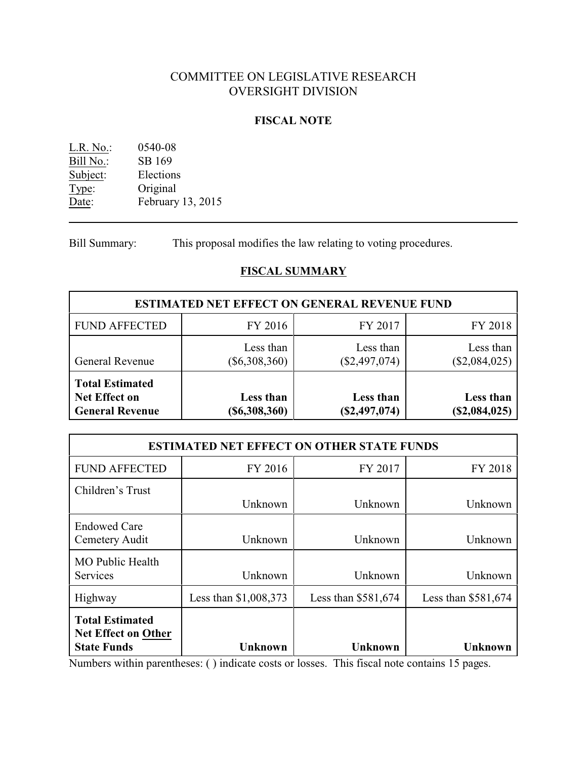# COMMITTEE ON LEGISLATIVE RESEARCH OVERSIGHT DIVISION

# **FISCAL NOTE**

| 0540-08           |
|-------------------|
| SB 169            |
| Elections         |
| Original          |
| February 13, 2015 |
|                   |

Bill Summary: This proposal modifies the law relating to voting procedures.

# **FISCAL SUMMARY**

| <b>ESTIMATED NET EFFECT ON GENERAL REVENUE FUND</b>                      |                              |                              |                            |
|--------------------------------------------------------------------------|------------------------------|------------------------------|----------------------------|
| <b>FUND AFFECTED</b>                                                     | FY 2016                      | FY 2017                      | FY 2018                    |
| <b>General Revenue</b>                                                   | Less than<br>$(\$6,308,360)$ | Less than<br>$(\$2,497,074)$ | Less than<br>(\$2,084,025) |
| <b>Total Estimated</b><br><b>Net Effect on</b><br><b>General Revenue</b> | Less than<br>$(\$6,308,360)$ | Less than<br>(\$2,497,074)   | Less than<br>(\$2,084,025) |

|                                                                            | <b>ESTIMATED NET EFFECT ON OTHER STATE FUNDS</b> |                      |                      |
|----------------------------------------------------------------------------|--------------------------------------------------|----------------------|----------------------|
| <b>FUND AFFECTED</b>                                                       | FY 2016                                          | FY 2017              | FY 2018              |
| Children's Trust                                                           | Unknown                                          | Unknown              | Unknown              |
| <b>Endowed Care</b><br>Cemetery Audit                                      | Unknown                                          | Unknown              | Unknown              |
| <b>MO Public Health</b><br>Services                                        | Unknown                                          | Unknown              | Unknown              |
| Highway                                                                    | Less than \$1,008,373                            | Less than $$581,674$ | Less than $$581,674$ |
| <b>Total Estimated</b><br><b>Net Effect on Other</b><br><b>State Funds</b> | <b>Unknown</b>                                   | <b>Unknown</b>       | <b>Unknown</b>       |

Numbers within parentheses: ( ) indicate costs or losses. This fiscal note contains 15 pages.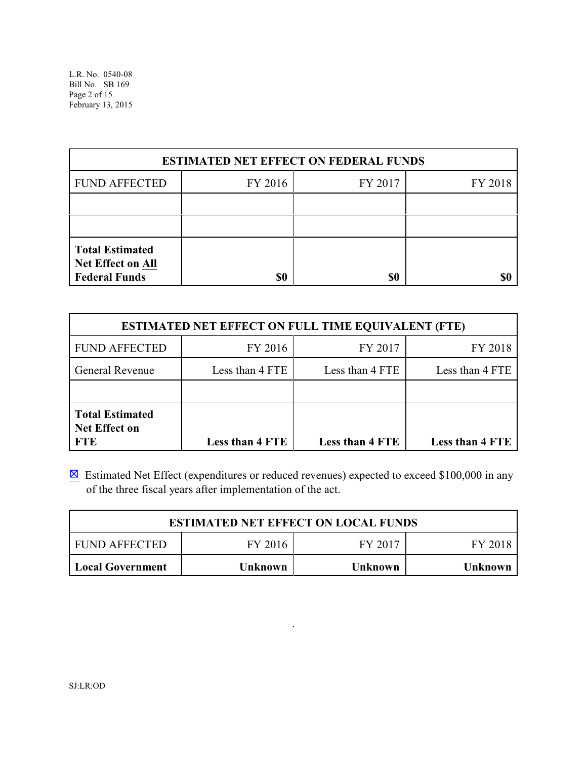| <b>ESTIMATED NET EFFECT ON FEDERAL FUNDS</b>                        |         |         |         |
|---------------------------------------------------------------------|---------|---------|---------|
| <b>FUND AFFECTED</b>                                                | FY 2016 | FY 2017 | FY 2018 |
|                                                                     |         |         |         |
|                                                                     |         |         |         |
| <b>Total Estimated</b><br>Net Effect on All<br><b>Federal Funds</b> | \$0     | \$0     |         |

|                                                              | <b>ESTIMATED NET EFFECT ON FULL TIME EQUIVALENT (FTE)</b> |                        |                        |
|--------------------------------------------------------------|-----------------------------------------------------------|------------------------|------------------------|
| <b>FUND AFFECTED</b>                                         | FY 2016                                                   | FY 2017                | FY 2018                |
| <b>General Revenue</b>                                       | Less than 4 FTE                                           | Less than 4 FTE        | Less than 4 FTE        |
|                                                              |                                                           |                        |                        |
| <b>Total Estimated</b><br><b>Net Effect on</b><br><b>FTE</b> | Less than 4 FTE                                           | <b>Less than 4 FTE</b> | <b>Less than 4 FTE</b> |

 $\boxtimes$  Estimated Net Effect (expenditures or reduced revenues) expected to exceed \$100,000 in any of the three fiscal years after implementation of the act.

| <b>ESTIMATED NET EFFECT ON LOCAL FUNDS</b> |                |                |                |
|--------------------------------------------|----------------|----------------|----------------|
| <b>FUND AFFECTED</b>                       | FY 2016        | FY 2017        | FY 2018        |
| Local Government                           | <b>Unknown</b> | <b>Unknown</b> | <b>Unknown</b> |

.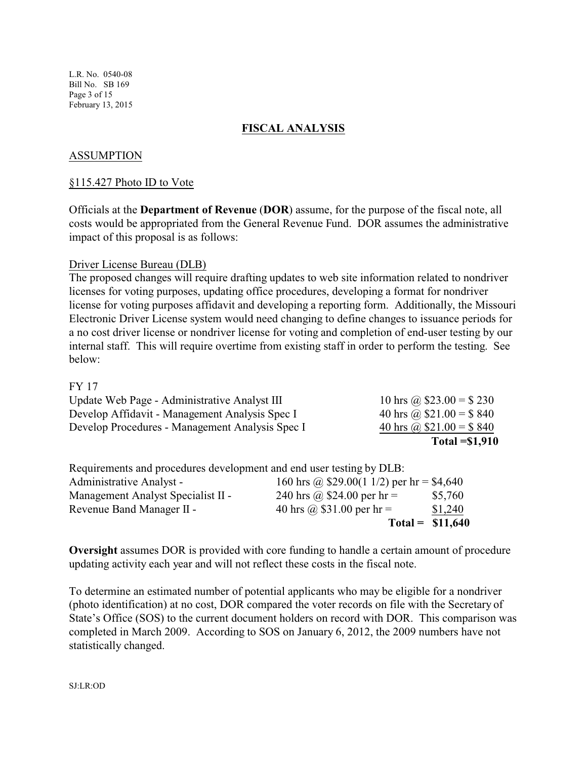L.R. No. 0540-08 Bill No. SB 169 Page 3 of 15 February 13, 2015

# **FISCAL ANALYSIS**

# ASSUMPTION

### §115.427 Photo ID to Vote

Officials at the **Department of Revenue** (**DOR**) assume, for the purpose of the fiscal note, all costs would be appropriated from the General Revenue Fund. DOR assumes the administrative impact of this proposal is as follows:

### Driver License Bureau (DLB)

The proposed changes will require drafting updates to web site information related to nondriver licenses for voting purposes, updating office procedures, developing a format for nondriver license for voting purposes affidavit and developing a reporting form. Additionally, the Missouri Electronic Driver License system would need changing to define changes to issuance periods for a no cost driver license or nondriver license for voting and completion of end-user testing by our internal staff. This will require overtime from existing staff in order to perform the testing. See below:

#### FY 17

|                                                 | Total $= $1,910$         |
|-------------------------------------------------|--------------------------|
| Develop Procedures - Management Analysis Spec I | 40 hrs @ $$21.00 = $840$ |
| Develop Affidavit - Management Analysis Spec I  | 40 hrs @ $$21.00 = $840$ |
| Update Web Page - Administrative Analyst III    | 10 hrs @ $$23.00 = $230$ |

|                                                                      | Total = $$11,640$                                 |         |
|----------------------------------------------------------------------|---------------------------------------------------|---------|
| Revenue Band Manager II -                                            | 40 hrs @ $$31.00$ per hr =                        | \$1,240 |
| Management Analyst Specialist II -                                   | 240 hrs @ \$24.00 per hr =                        | \$5,760 |
| Administrative Analyst -                                             | 160 hrs @ $$29.00(1\frac{1}{2})$ per hr = \$4,640 |         |
| Requirements and procedures development and end user testing by DLB: |                                                   |         |

**Oversight** assumes DOR is provided with core funding to handle a certain amount of procedure updating activity each year and will not reflect these costs in the fiscal note.

To determine an estimated number of potential applicants who may be eligible for a nondriver (photo identification) at no cost, DOR compared the voter records on file with the Secretary of State's Office (SOS) to the current document holders on record with DOR. This comparison was completed in March 2009. According to SOS on January 6, 2012, the 2009 numbers have not statistically changed.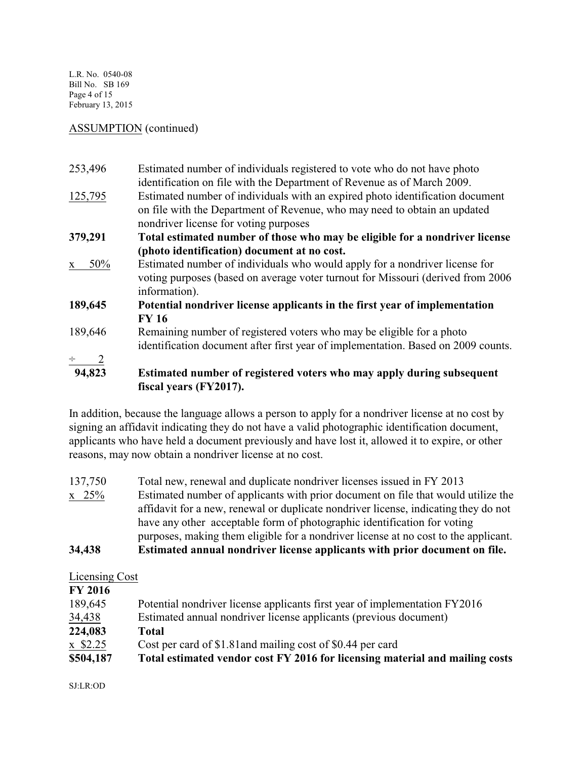L.R. No. 0540-08 Bill No. SB 169 Page 4 of 15 February 13, 2015

### ASSUMPTION (continued)

| 253,496             | Estimated number of individuals registered to vote who do not have photo<br>identification on file with the Department of Revenue as of March 2009.                                                 |
|---------------------|-----------------------------------------------------------------------------------------------------------------------------------------------------------------------------------------------------|
| 125,795             | Estimated number of individuals with an expired photo identification document<br>on file with the Department of Revenue, who may need to obtain an updated<br>nondriver license for voting purposes |
| 379,291             | Total estimated number of those who may be eligible for a nondriver license                                                                                                                         |
|                     | (photo identification) document at no cost.                                                                                                                                                         |
| 50%<br>$\mathbf{X}$ | Estimated number of individuals who would apply for a nondriver license for<br>voting purposes (based on average voter turnout for Missouri (derived from 2006)<br>information).                    |
| 189,645             | Potential nondriver license applicants in the first year of implementation<br><b>FY 16</b>                                                                                                          |
| 189,646             | Remaining number of registered voters who may be eligible for a photo<br>identification document after first year of implementation. Based on 2009 counts.                                          |
|                     |                                                                                                                                                                                                     |
| $\frac{2}{94,823}$  | Estimated number of registered voters who may apply during subsequent<br>fiscal years (FY2017).                                                                                                     |

In addition, because the language allows a person to apply for a nondriver license at no cost by signing an affidavit indicating they do not have a valid photographic identification document, applicants who have held a document previously and have lost it, allowed it to expire, or other reasons, may now obtain a nondriver license at no cost.

137,750 Total new, renewal and duplicate nondriver licenses issued in FY 2013 x 25% Estimated number of applicants with prior document on file that would utilize the affidavit for a new, renewal or duplicate nondriver license, indicating they do not have any other acceptable form of photographic identification for voting purposes, making them eligible for a nondriver license at no cost to the applicant. **34,438 Estimated annual nondriver license applicants with prior document on file.** 

# Licensing Cost

| <b>FY 2016</b> |                                                                              |
|----------------|------------------------------------------------------------------------------|
| 189,645        | Potential nondriver license applicants first year of implementation FY2016   |
| 34,438         | Estimated annual nondriver license applicants (previous document)            |
| 224,083        | Total                                                                        |
| $x$ \$2.25     | Cost per card of \$1.81 and mailing cost of \$0.44 per card                  |
| \$504,187      | Total estimated vendor cost FY 2016 for licensing material and mailing costs |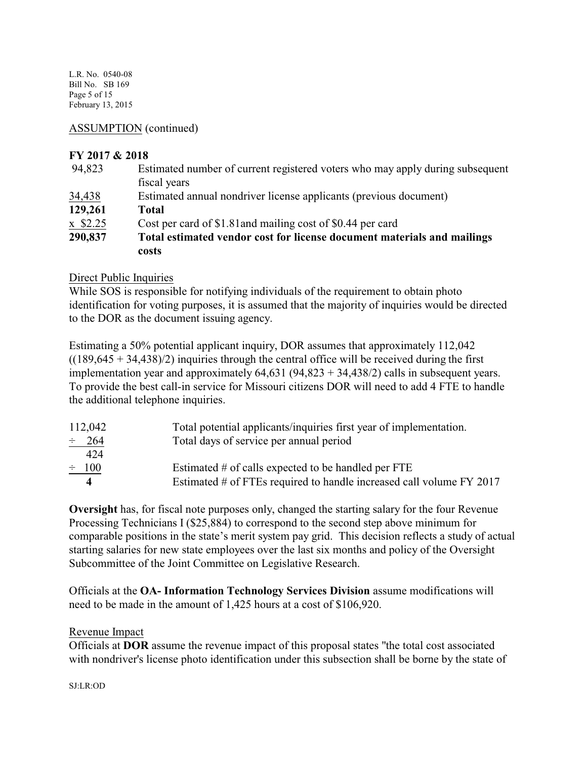L.R. No. 0540-08 Bill No. SB 169 Page 5 of 15 February 13, 2015

ASSUMPTION (continued)

# **FY 2017 & 2018**

| 94,823     | Estimated number of current registered voters who may apply during subsequent    |
|------------|----------------------------------------------------------------------------------|
|            | fiscal years                                                                     |
| 34,438     | Estimated annual nondriver license applicants (previous document)                |
| 129,261    | Total                                                                            |
| $x$ \$2.25 | Cost per card of \$1.81 and mailing cost of \$0.44 per card                      |
| 290,837    | Total estimated vendor cost for license document materials and mailings<br>costs |

# Direct Public Inquiries

While SOS is responsible for notifying individuals of the requirement to obtain photo identification for voting purposes, it is assumed that the majority of inquiries would be directed to the DOR as the document issuing agency.

Estimating a 50% potential applicant inquiry, DOR assumes that approximately 112,042  $((189,645 + 34,438)/2)$  inquiries through the central office will be received during the first implementation year and approximately  $64,631$  ( $94,823 + 34,438/2$ ) calls in subsequent years. To provide the best call-in service for Missouri citizens DOR will need to add 4 FTE to handle the additional telephone inquiries.

| 112,042    | Total potential applicants/inquiries first year of implementation.   |
|------------|----------------------------------------------------------------------|
| $\div$ 264 | Total days of service per annual period                              |
| 424        |                                                                      |
| $\div$ 100 | Estimated # of calls expected to be handled per FTE                  |
|            | Estimated # of FTEs required to handle increased call volume FY 2017 |

**Oversight** has, for fiscal note purposes only, changed the starting salary for the four Revenue Processing Technicians I (\$25,884) to correspond to the second step above minimum for comparable positions in the state's merit system pay grid. This decision reflects a study of actual starting salaries for new state employees over the last six months and policy of the Oversight Subcommittee of the Joint Committee on Legislative Research.

Officials at the **OA- Information Technology Services Division** assume modifications will need to be made in the amount of 1,425 hours at a cost of \$106,920.

# Revenue Impact

Officials at **DOR** assume the revenue impact of this proposal states "the total cost associated with nondriver's license photo identification under this subsection shall be borne by the state of

#### SJ:LR:OD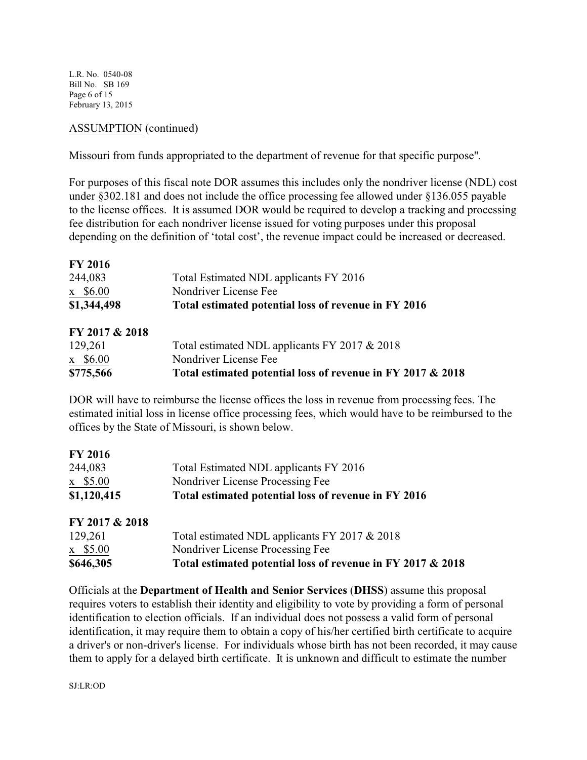L.R. No. 0540-08 Bill No. SB 169 Page 6 of 15 February 13, 2015

# ASSUMPTION (continued)

Missouri from funds appropriated to the department of revenue for that specific purpose".

For purposes of this fiscal note DOR assumes this includes only the nondriver license (NDL) cost under §302.181 and does not include the office processing fee allowed under §136.055 payable to the license offices. It is assumed DOR would be required to develop a tracking and processing fee distribution for each nondriver license issued for voting purposes under this proposal depending on the definition of 'total cost', the revenue impact could be increased or decreased.

| <b>FY 2016</b> |                                                      |
|----------------|------------------------------------------------------|
| 244,083        | Total Estimated NDL applicants FY 2016               |
| $x$ \$6.00     | Nondriver License Fee                                |
| \$1,344,498    | Total estimated potential loss of revenue in FY 2016 |

| FY 2017 & 2018 |                                                             |
|----------------|-------------------------------------------------------------|
| 129,261        | Total estimated NDL applicants FY 2017 & 2018               |
| $x$ \$6.00     | Nondriver License Fee                                       |
| \$775,566      | Total estimated potential loss of revenue in FY 2017 & 2018 |

DOR will have to reimburse the license offices the loss in revenue from processing fees. The estimated initial loss in license office processing fees, which would have to be reimbursed to the offices by the State of Missouri, is shown below.

| \$1,120,415    | Total estimated potential loss of revenue in FY 2016 |  |
|----------------|------------------------------------------------------|--|
| $x$ \$5.00     | Nondriver License Processing Fee                     |  |
| 244,083        | Total Estimated NDL applicants FY 2016               |  |
| <b>FY 2016</b> |                                                      |  |

| FY 2017 & 2018 |                                                             |
|----------------|-------------------------------------------------------------|
| 129,261        | Total estimated NDL applicants FY 2017 & 2018               |
| $x$ \$5.00     | Nondriver License Processing Fee                            |
| \$646,305      | Total estimated potential loss of revenue in FY 2017 & 2018 |

Officials at the **Department of Health and Senior Services** (**DHSS**) assume this proposal requires voters to establish their identity and eligibility to vote by providing a form of personal identification to election officials. If an individual does not possess a valid form of personal identification, it may require them to obtain a copy of his/her certified birth certificate to acquire a driver's or non-driver's license. For individuals whose birth has not been recorded, it may cause them to apply for a delayed birth certificate. It is unknown and difficult to estimate the number

SJ:LR:OD

**FY 2016**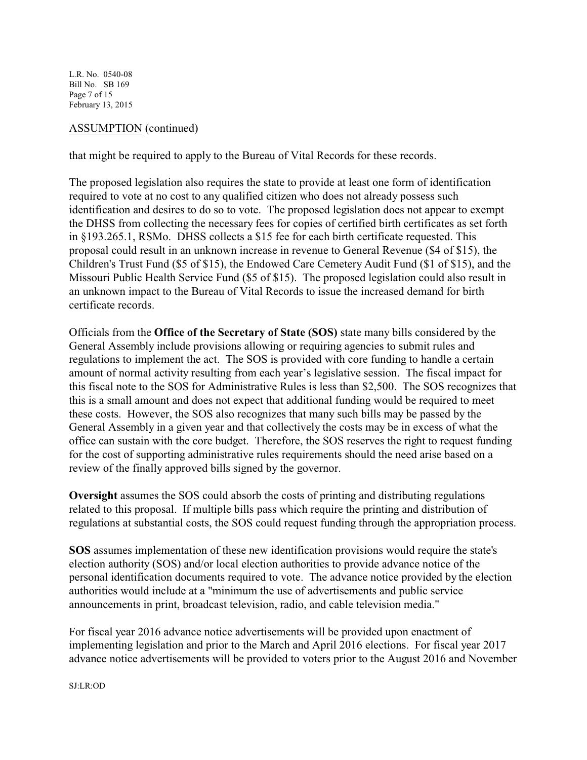L.R. No. 0540-08 Bill No. SB 169 Page 7 of 15 February 13, 2015

# ASSUMPTION (continued)

that might be required to apply to the Bureau of Vital Records for these records.

The proposed legislation also requires the state to provide at least one form of identification required to vote at no cost to any qualified citizen who does not already possess such identification and desires to do so to vote. The proposed legislation does not appear to exempt the DHSS from collecting the necessary fees for copies of certified birth certificates as set forth in §193.265.1, RSMo. DHSS collects a \$15 fee for each birth certificate requested. This proposal could result in an unknown increase in revenue to General Revenue (\$4 of \$15), the Children's Trust Fund (\$5 of \$15), the Endowed Care Cemetery Audit Fund (\$1 of \$15), and the Missouri Public Health Service Fund (\$5 of \$15). The proposed legislation could also result in an unknown impact to the Bureau of Vital Records to issue the increased demand for birth certificate records.

Officials from the **Office of the Secretary of State (SOS)** state many bills considered by the General Assembly include provisions allowing or requiring agencies to submit rules and regulations to implement the act. The SOS is provided with core funding to handle a certain amount of normal activity resulting from each year's legislative session. The fiscal impact for this fiscal note to the SOS for Administrative Rules is less than \$2,500. The SOS recognizes that this is a small amount and does not expect that additional funding would be required to meet these costs. However, the SOS also recognizes that many such bills may be passed by the General Assembly in a given year and that collectively the costs may be in excess of what the office can sustain with the core budget. Therefore, the SOS reserves the right to request funding for the cost of supporting administrative rules requirements should the need arise based on a review of the finally approved bills signed by the governor.

**Oversight** assumes the SOS could absorb the costs of printing and distributing regulations related to this proposal. If multiple bills pass which require the printing and distribution of regulations at substantial costs, the SOS could request funding through the appropriation process.

**SOS** assumes implementation of these new identification provisions would require the state's election authority (SOS) and/or local election authorities to provide advance notice of the personal identification documents required to vote. The advance notice provided by the election authorities would include at a "minimum the use of advertisements and public service announcements in print, broadcast television, radio, and cable television media."

For fiscal year 2016 advance notice advertisements will be provided upon enactment of implementing legislation and prior to the March and April 2016 elections. For fiscal year 2017 advance notice advertisements will be provided to voters prior to the August 2016 and November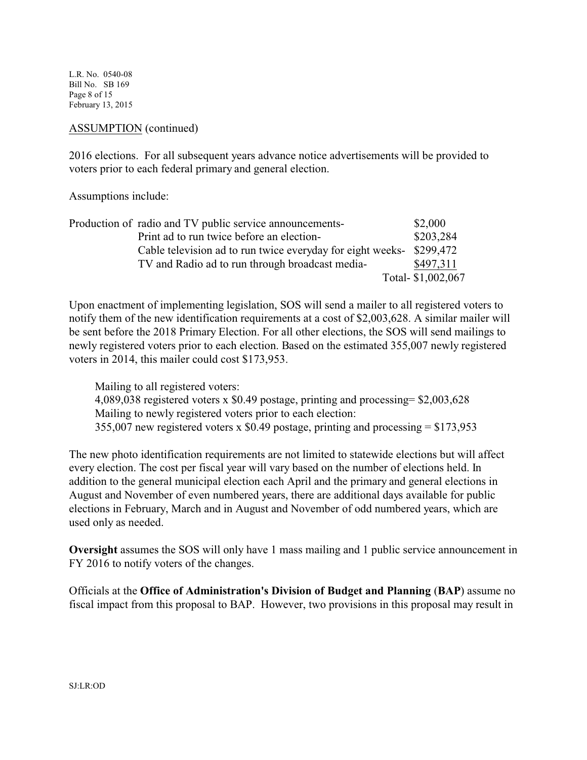L.R. No. 0540-08 Bill No. SB 169 Page 8 of 15 February 13, 2015

### ASSUMPTION (continued)

2016 elections. For all subsequent years advance notice advertisements will be provided to voters prior to each federal primary and general election.

Assumptions include:

| Production of radio and TV public service announcements-   | \$2,000            |
|------------------------------------------------------------|--------------------|
| Print ad to run twice before an election-                  | \$203,284          |
| Cable television ad to run twice everyday for eight weeks- | \$299.472          |
| TV and Radio ad to run through broadcast media-            | \$497,311          |
|                                                            | Total- \$1,002,067 |

Upon enactment of implementing legislation, SOS will send a mailer to all registered voters to notify them of the new identification requirements at a cost of \$2,003,628. A similar mailer will be sent before the 2018 Primary Election. For all other elections, the SOS will send mailings to newly registered voters prior to each election. Based on the estimated 355,007 newly registered voters in 2014, this mailer could cost \$173,953.

 Mailing to all registered voters: 4,089,038 registered voters x \$0.49 postage, printing and processing= \$2,003,628 Mailing to newly registered voters prior to each election: 355,007 new registered voters x \$0.49 postage, printing and processing = \$173,953

The new photo identification requirements are not limited to statewide elections but will affect every election. The cost per fiscal year will vary based on the number of elections held. In addition to the general municipal election each April and the primary and general elections in August and November of even numbered years, there are additional days available for public elections in February, March and in August and November of odd numbered years, which are used only as needed.

**Oversight** assumes the SOS will only have 1 mass mailing and 1 public service announcement in FY 2016 to notify voters of the changes.

Officials at the **Office of Administration's Division of Budget and Planning** (**BAP**) assume no fiscal impact from this proposal to BAP. However, two provisions in this proposal may result in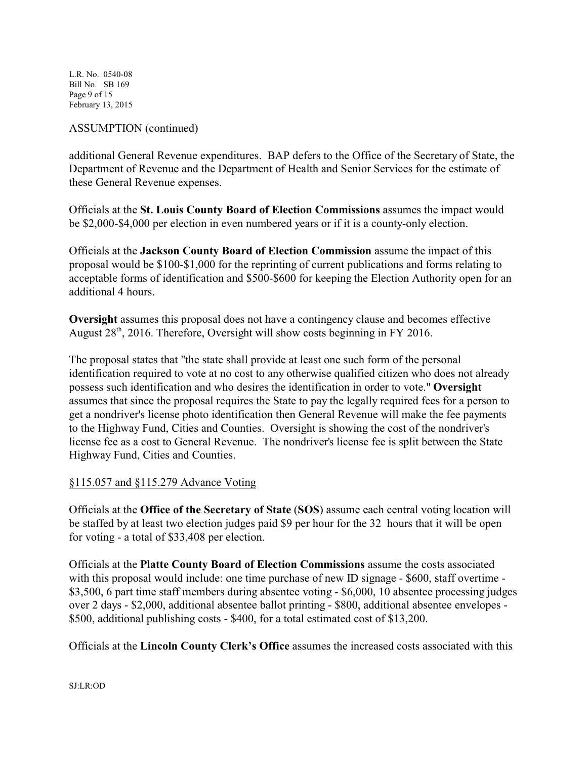L.R. No. 0540-08 Bill No. SB 169 Page 9 of 15 February 13, 2015

# ASSUMPTION (continued)

additional General Revenue expenditures. BAP defers to the Office of the Secretary of State, the Department of Revenue and the Department of Health and Senior Services for the estimate of these General Revenue expenses.

Officials at the **St. Louis County Board of Election Commissions** assumes the impact would be \$2,000-\$4,000 per election in even numbered years or if it is a county-only election.

Officials at the **Jackson County Board of Election Commission** assume the impact of this proposal would be \$100-\$1,000 for the reprinting of current publications and forms relating to acceptable forms of identification and \$500-\$600 for keeping the Election Authority open for an additional 4 hours.

**Oversight** assumes this proposal does not have a contingency clause and becomes effective August  $28<sup>th</sup>$ , 2016. Therefore, Oversight will show costs beginning in FY 2016.

The proposal states that "the state shall provide at least one such form of the personal identification required to vote at no cost to any otherwise qualified citizen who does not already possess such identification and who desires the identification in order to vote." **Oversight** assumes that since the proposal requires the State to pay the legally required fees for a person to get a nondriver's license photo identification then General Revenue will make the fee payments to the Highway Fund, Cities and Counties. Oversight is showing the cost of the nondriver's license fee as a cost to General Revenue. The nondriver's license fee is split between the State Highway Fund, Cities and Counties.

# §115.057 and §115.279 Advance Voting

Officials at the **Office of the Secretary of State** (**SOS**) assume each central voting location will be staffed by at least two election judges paid \$9 per hour for the 32 hours that it will be open for voting - a total of \$33,408 per election.

Officials at the **Platte County Board of Election Commissions** assume the costs associated with this proposal would include: one time purchase of new ID signage - \$600, staff overtime -\$3,500, 6 part time staff members during absentee voting - \$6,000, 10 absentee processing judges over 2 days - \$2,000, additional absentee ballot printing - \$800, additional absentee envelopes - \$500, additional publishing costs - \$400, for a total estimated cost of \$13,200.

Officials at the **Lincoln County Clerk's Office** assumes the increased costs associated with this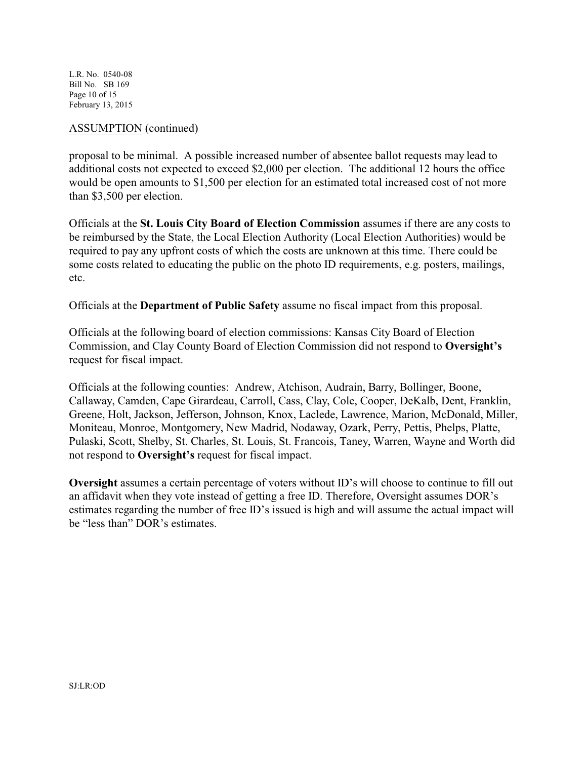L.R. No. 0540-08 Bill No. SB 169 Page 10 of 15 February 13, 2015

### ASSUMPTION (continued)

proposal to be minimal. A possible increased number of absentee ballot requests may lead to additional costs not expected to exceed \$2,000 per election. The additional 12 hours the office would be open amounts to \$1,500 per election for an estimated total increased cost of not more than \$3,500 per election.

Officials at the **St. Louis City Board of Election Commission** assumes if there are any costs to be reimbursed by the State, the Local Election Authority (Local Election Authorities) would be required to pay any upfront costs of which the costs are unknown at this time. There could be some costs related to educating the public on the photo ID requirements, e.g. posters, mailings, etc.

Officials at the **Department of Public Safety** assume no fiscal impact from this proposal.

Officials at the following board of election commissions: Kansas City Board of Election Commission, and Clay County Board of Election Commission did not respond to **Oversight's** request for fiscal impact.

Officials at the following counties: Andrew, Atchison, Audrain, Barry, Bollinger, Boone, Callaway, Camden, Cape Girardeau, Carroll, Cass, Clay, Cole, Cooper, DeKalb, Dent, Franklin, Greene, Holt, Jackson, Jefferson, Johnson, Knox, Laclede, Lawrence, Marion, McDonald, Miller, Moniteau, Monroe, Montgomery, New Madrid, Nodaway, Ozark, Perry, Pettis, Phelps, Platte, Pulaski, Scott, Shelby, St. Charles, St. Louis, St. Francois, Taney, Warren, Wayne and Worth did not respond to **Oversight's** request for fiscal impact.

**Oversight** assumes a certain percentage of voters without ID's will choose to continue to fill out an affidavit when they vote instead of getting a free ID. Therefore, Oversight assumes DOR's estimates regarding the number of free ID's issued is high and will assume the actual impact will be "less than" DOR's estimates.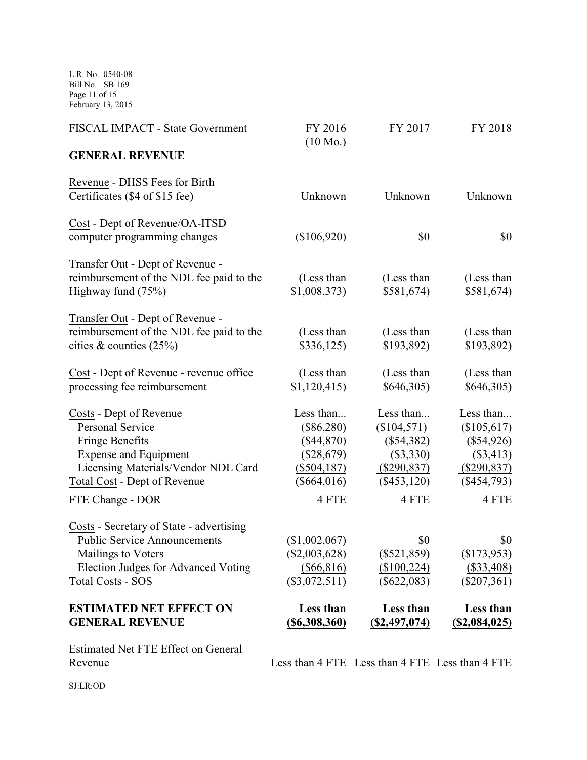L.R. No. 0540-08 Bill No. SB 169 Page 11 of 15 February 13, 2015

| FISCAL IMPACT - State Government                                                                                                                                                                        | FY 2016<br>$(10 \text{ Mo.})$                                                                      | FY 2017                                                                                            | FY 2018                                                                                          |
|---------------------------------------------------------------------------------------------------------------------------------------------------------------------------------------------------------|----------------------------------------------------------------------------------------------------|----------------------------------------------------------------------------------------------------|--------------------------------------------------------------------------------------------------|
| <b>GENERAL REVENUE</b>                                                                                                                                                                                  |                                                                                                    |                                                                                                    |                                                                                                  |
| Revenue - DHSS Fees for Birth<br>Certificates (\$4 of \$15 fee)                                                                                                                                         | Unknown                                                                                            | Unknown                                                                                            | Unknown                                                                                          |
| Cost - Dept of Revenue/OA-ITSD<br>computer programming changes                                                                                                                                          | (\$106,920)                                                                                        | \$0                                                                                                | \$0                                                                                              |
| Transfer Out - Dept of Revenue -<br>reimbursement of the NDL fee paid to the<br>Highway fund $(75%)$                                                                                                    | (Less than<br>\$1,008,373)                                                                         | (Less than<br>$$581,674$ )                                                                         | (Less than<br>\$581,674                                                                          |
| Transfer Out - Dept of Revenue -<br>reimbursement of the NDL fee paid to the<br>cities & counties $(25%)$                                                                                               | (Less than<br>\$336,125                                                                            | (Less than<br>\$193,892)                                                                           | (Less than<br>\$193,892)                                                                         |
| Cost - Dept of Revenue - revenue office<br>processing fee reimbursement                                                                                                                                 | (Less than<br>\$1,120,415)                                                                         | (Less than<br>\$646,305)                                                                           | (Less than<br>\$646,305)                                                                         |
| Costs - Dept of Revenue<br><b>Personal Service</b><br><b>Fringe Benefits</b><br><b>Expense and Equipment</b><br>Licensing Materials/Vendor NDL Card<br>Total Cost - Dept of Revenue<br>FTE Change - DOR | Less than<br>$(\$86,280)$<br>(\$44,870)<br>$(\$28,679)$<br>$(\$504,187)$<br>$(\$664,016)$<br>4 FTE | Less than<br>(\$104,571)<br>$(\$54,382)$<br>$(\$3,330)$<br>$(\$290,837)$<br>$(\$453,120)$<br>4 FTE | Less than<br>(\$105,617)<br>$(\$54,926)$<br>(\$3,413)<br>$(\$290,837)$<br>$(\$454,793)$<br>4 FTE |
| Costs - Secretary of State - advertising<br><b>Public Service Announcements</b><br>Mailings to Voters<br>Election Judges for Advanced Voting<br><b>Total Costs - SOS</b>                                | (\$1,002,067)<br>$(\$2,003,628)$<br>$(\$66,816)$<br>$(\$3,072,511)$                                | \$0<br>$(\$521,859)$<br>$(\$100,224)$<br>$(\$622,083)$                                             | \$0<br>(\$173,953)<br>$(\$33,408)$<br>$(\$207,361)$                                              |
| <b>ESTIMATED NET EFFECT ON</b><br><b>GENERAL REVENUE</b>                                                                                                                                                | Less than<br>$($ \$6,308,360)                                                                      | Less than<br>$($ \$2,497,074)                                                                      | Less than<br>(S2,084,025)                                                                        |

Estimated Net FTE Effect on General

Revenue Less than 4 FTE Less than 4 FTE Less than 4 FTE

SJ:LR:OD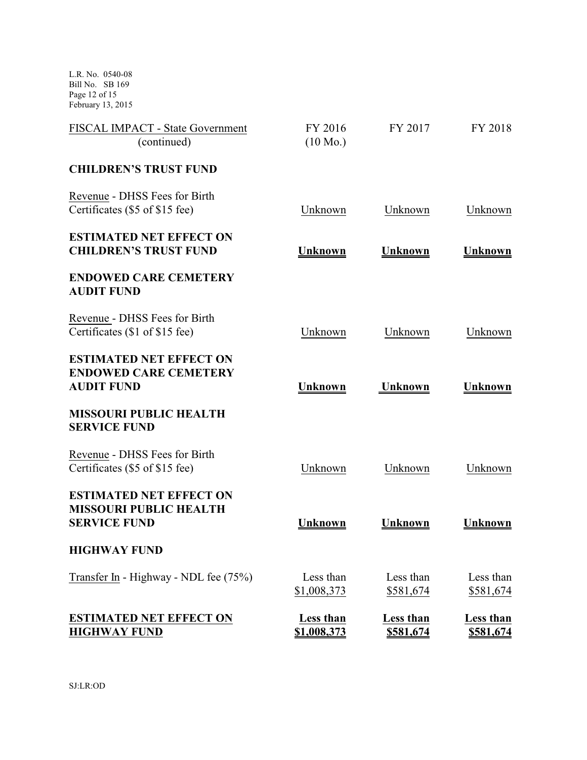L.R. No. 0540-08 Bill No. SB 169 Page 12 of 15 February 13, 2015

| FISCAL IMPACT - State Government<br>(continued)                                        | FY 2016<br>$(10 \text{ Mo.})$ | FY 2017                | FY 2018                       |
|----------------------------------------------------------------------------------------|-------------------------------|------------------------|-------------------------------|
| <b>CHILDREN'S TRUST FUND</b>                                                           |                               |                        |                               |
| Revenue - DHSS Fees for Birth<br>Certificates (\$5 of \$15 fee)                        | Unknown                       | Unknown                | Unknown                       |
| <b>ESTIMATED NET EFFECT ON</b><br><b>CHILDREN'S TRUST FUND</b>                         | Unknown                       | Unknown                | Unknown                       |
| <b>ENDOWED CARE CEMETERY</b><br><b>AUDIT FUND</b>                                      |                               |                        |                               |
| Revenue - DHSS Fees for Birth<br>Certificates (\$1 of \$15 fee)                        | Unknown                       | Unknown                | Unknown                       |
| <b>ESTIMATED NET EFFECT ON</b><br><b>ENDOWED CARE CEMETERY</b><br><b>AUDIT FUND</b>    | <b>Unknown</b>                | <b>Unknown</b>         | <b>Unknown</b>                |
| <b>MISSOURI PUBLIC HEALTH</b><br><b>SERVICE FUND</b>                                   |                               |                        |                               |
| Revenue - DHSS Fees for Birth<br>Certificates (\$5 of \$15 fee)                        | Unknown                       | Unknown                | Unknown                       |
| <b>ESTIMATED NET EFFECT ON</b><br><b>MISSOURI PUBLIC HEALTH</b><br><b>SERVICE FUND</b> | Unknown                       | <b>Unknown</b>         | Unknown                       |
| <b>HIGHWAY FUND</b>                                                                    |                               |                        |                               |
| Transfer In - Highway - NDL fee (75%)                                                  | Less than<br>\$1,008,373      | Less than<br>\$581,674 | Less than<br>\$581,674        |
| <b>ESTIMATED NET EFFECT ON</b><br><b>HIGHWAY FUND</b>                                  | Less than<br>\$1,008,373      | Less than<br>\$581,674 | Less than<br><u>\$581,674</u> |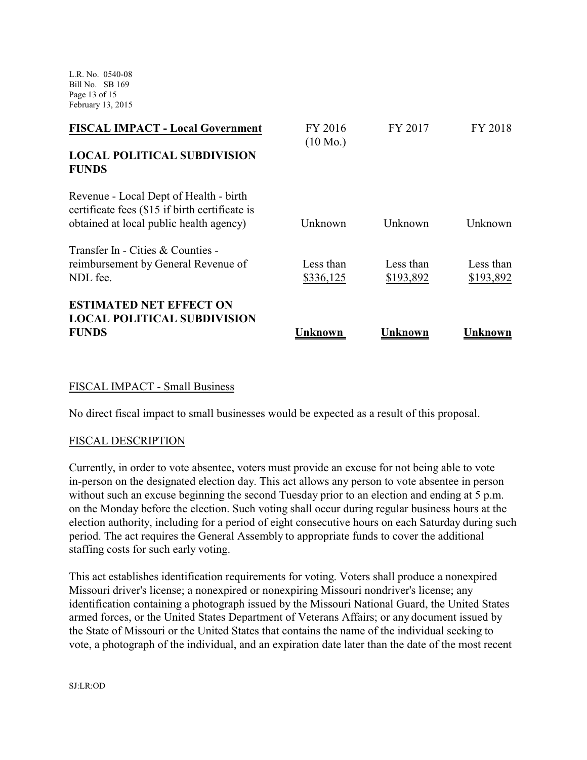L.R. No. 0540-08 Bill No. SB 169 Page 13 of 15 February 13, 2015

| <b>FISCAL IMPACT - Local Government</b>                                                                                             | FY 2016<br>$(10 \text{ Mo.})$ | FY 2017                | FY 2018                |
|-------------------------------------------------------------------------------------------------------------------------------------|-------------------------------|------------------------|------------------------|
| <b>LOCAL POLITICAL SUBDIVISION</b><br><b>FUNDS</b>                                                                                  |                               |                        |                        |
| Revenue - Local Dept of Health - birth<br>certificate fees (\$15 if birth certificate is<br>obtained at local public health agency) | Unknown                       | Unknown                | Unknown                |
| Transfer In - Cities & Counties -                                                                                                   |                               |                        |                        |
| reimbursement by General Revenue of<br>NDL fee.                                                                                     | Less than<br>\$336,125        | Less than<br>\$193,892 | Less than<br>\$193,892 |
| <b>ESTIMATED NET EFFECT ON</b><br><b>LOCAL POLITICAL SUBDIVISION</b>                                                                |                               |                        |                        |
| <b>FUNDS</b>                                                                                                                        | Unknown                       | Unknown                | Unknown                |

# FISCAL IMPACT - Small Business

No direct fiscal impact to small businesses would be expected as a result of this proposal.

# FISCAL DESCRIPTION

Currently, in order to vote absentee, voters must provide an excuse for not being able to vote in-person on the designated election day. This act allows any person to vote absentee in person without such an excuse beginning the second Tuesday prior to an election and ending at 5 p.m. on the Monday before the election. Such voting shall occur during regular business hours at the election authority, including for a period of eight consecutive hours on each Saturday during such period. The act requires the General Assembly to appropriate funds to cover the additional staffing costs for such early voting.

This act establishes identification requirements for voting. Voters shall produce a nonexpired Missouri driver's license; a nonexpired or nonexpiring Missouri nondriver's license; any identification containing a photograph issued by the Missouri National Guard, the United States armed forces, or the United States Department of Veterans Affairs; or any document issued by the State of Missouri or the United States that contains the name of the individual seeking to vote, a photograph of the individual, and an expiration date later than the date of the most recent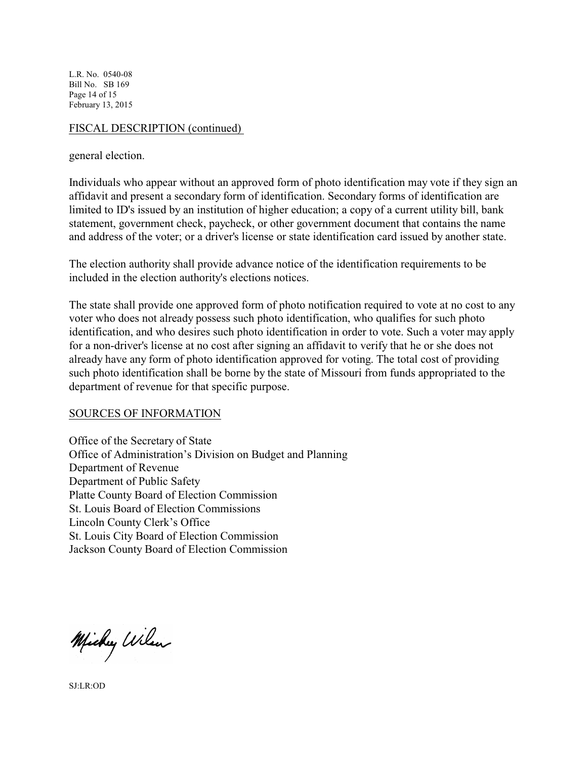L.R. No. 0540-08 Bill No. SB 169 Page 14 of 15 February 13, 2015

### FISCAL DESCRIPTION (continued)

general election.

Individuals who appear without an approved form of photo identification may vote if they sign an affidavit and present a secondary form of identification. Secondary forms of identification are limited to ID's issued by an institution of higher education; a copy of a current utility bill, bank statement, government check, paycheck, or other government document that contains the name and address of the voter; or a driver's license or state identification card issued by another state.

The election authority shall provide advance notice of the identification requirements to be included in the election authority's elections notices.

The state shall provide one approved form of photo notification required to vote at no cost to any voter who does not already possess such photo identification, who qualifies for such photo identification, and who desires such photo identification in order to vote. Such a voter may apply for a non-driver's license at no cost after signing an affidavit to verify that he or she does not already have any form of photo identification approved for voting. The total cost of providing such photo identification shall be borne by the state of Missouri from funds appropriated to the department of revenue for that specific purpose.

# SOURCES OF INFORMATION

Office of the Secretary of State Office of Administration's Division on Budget and Planning Department of Revenue Department of Public Safety Platte County Board of Election Commission St. Louis Board of Election Commissions Lincoln County Clerk's Office St. Louis City Board of Election Commission Jackson County Board of Election Commission

Michy Wilson

SJ:LR:OD